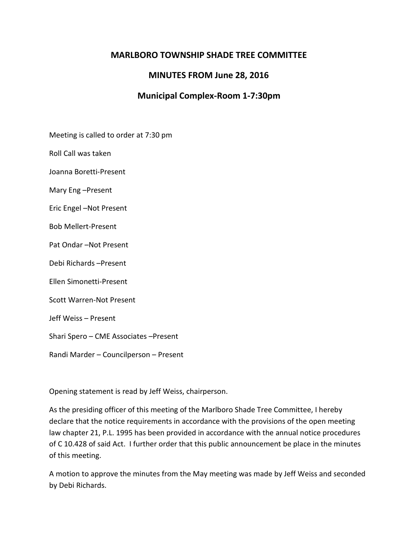## **MARLBORO TOWNSHIP SHADE TREE COMMITTEE**

## **MINUTES FROM June 28, 2016**

# **Municipal Complex-Room 1-7:30pm**

Meeting is called to order at 7:30 pm

Roll Call was taken

Joanna Boretti-Present

Mary Eng –Present

Eric Engel –Not Present

Bob Mellert-Present

Pat Ondar –Not Present

Debi Richards –Present

Ellen Simonetti-Present

Scott Warren-Not Present

Jeff Weiss – Present

Shari Spero – CME Associates –Present

Randi Marder – Councilperson – Present

Opening statement is read by Jeff Weiss, chairperson.

As the presiding officer of this meeting of the Marlboro Shade Tree Committee, I hereby declare that the notice requirements in accordance with the provisions of the open meeting law chapter 21, P.L. 1995 has been provided in accordance with the annual notice procedures of C 10.428 of said Act. I further order that this public announcement be place in the minutes of this meeting.

A motion to approve the minutes from the May meeting was made by Jeff Weiss and seconded by Debi Richards.